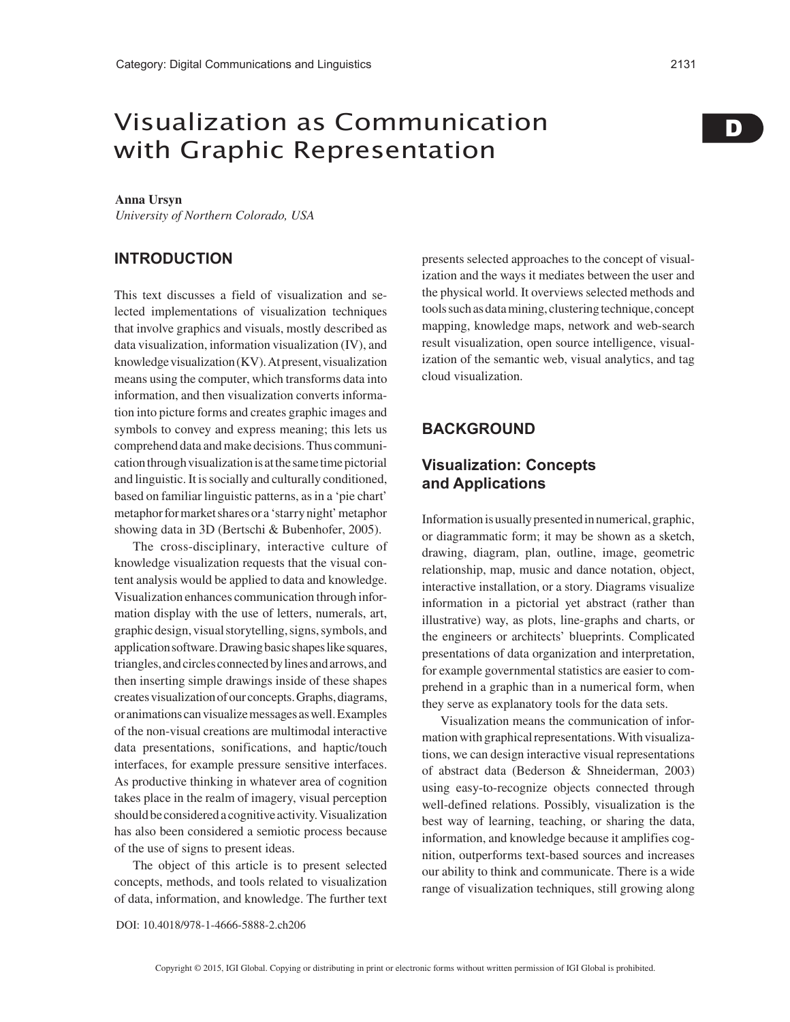# Visualization as Communication with Graphic Representation

#### **Anna Ursyn**

*University of Northern Colorado, USA*

#### **INTRODUCTION**

This text discusses a field of visualization and selected implementations of visualization techniques that involve graphics and visuals, mostly described as data visualization, information visualization (IV), and knowledge visualization (KV). At present, visualization means using the computer, which transforms data into information, and then visualization converts information into picture forms and creates graphic images and symbols to convey and express meaning; this lets us comprehend data and make decisions. Thus communication through visualization is at the same time pictorial and linguistic. It is socially and culturally conditioned, based on familiar linguistic patterns, as in a 'pie chart' metaphor for market shares or a 'starry night' metaphor showing data in 3D (Bertschi & Bubenhofer, 2005).

The cross-disciplinary, interactive culture of knowledge visualization requests that the visual content analysis would be applied to data and knowledge. Visualization enhances communication through information display with the use of letters, numerals, art, graphic design, visual storytelling, signs, symbols, and application software. Drawing basic shapes like squares, triangles, and circles connected by lines and arrows, and then inserting simple drawings inside of these shapes creates visualization of our concepts. Graphs, diagrams, or animations can visualize messages as well. Examples of the non-visual creations are multimodal interactive data presentations, sonifications, and haptic/touch interfaces, for example pressure sensitive interfaces. As productive thinking in whatever area of cognition takes place in the realm of imagery, visual perception should be considered a cognitive activity. Visualization has also been considered a semiotic process because of the use of signs to present ideas.

The object of this article is to present selected concepts, methods, and tools related to visualization of data, information, and knowledge. The further text presents selected approaches to the concept of visualization and the ways it mediates between the user and the physical world. It overviews selected methods and tools such as data mining, clustering technique, concept mapping, knowledge maps, network and web-search result visualization, open source intelligence, visualization of the semantic web, visual analytics, and tag cloud visualization.

## **BACKGROUND**

## **Visualization: Concepts and Applications**

Information is usually presented in numerical, graphic, or diagrammatic form; it may be shown as a sketch, drawing, diagram, plan, outline, image, geometric relationship, map, music and dance notation, object, interactive installation, or a story. Diagrams visualize information in a pictorial yet abstract (rather than illustrative) way, as plots, line-graphs and charts, or the engineers or architects' blueprints. Complicated presentations of data organization and interpretation, for example governmental statistics are easier to comprehend in a graphic than in a numerical form, when they serve as explanatory tools for the data sets.

Visualization means the communication of information with graphical representations. With visualizations, we can design interactive visual representations of abstract data (Bederson & Shneiderman, 2003) using easy-to-recognize objects connected through well-defined relations. Possibly, visualization is the best way of learning, teaching, or sharing the data, information, and knowledge because it amplifies cognition, outperforms text-based sources and increases our ability to think and communicate. There is a wide range of visualization techniques, still growing along

DOI: 10.4018/978-1-4666-5888-2.ch206

D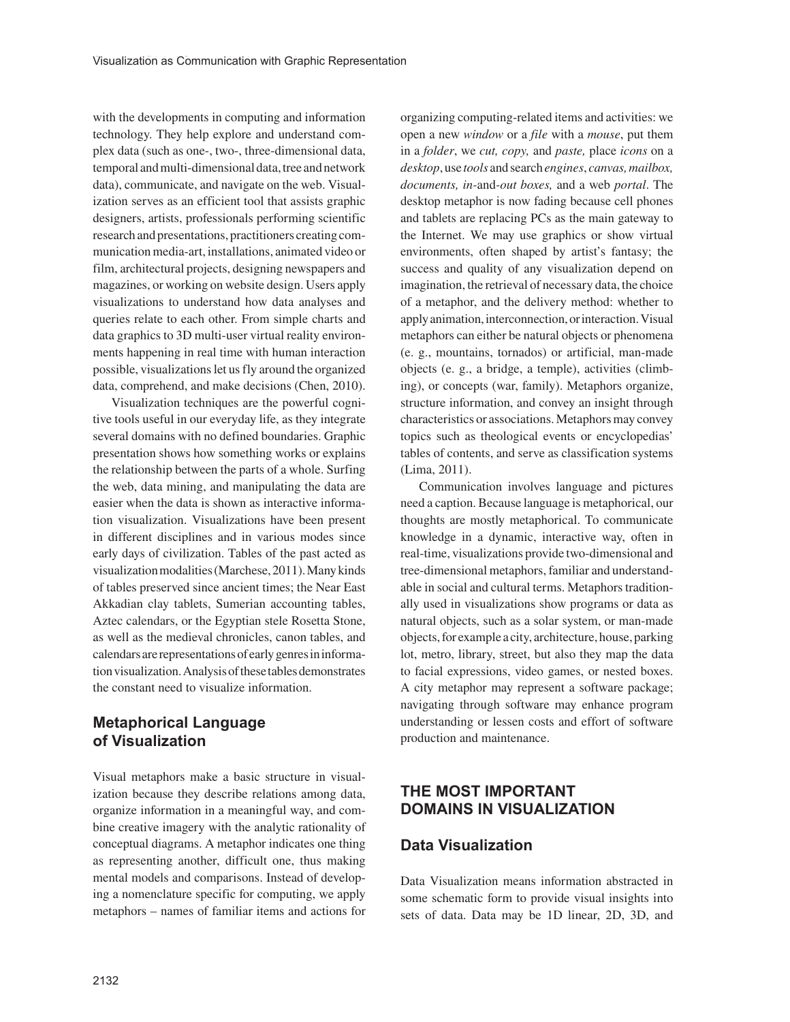with the developments in computing and information technology. They help explore and understand complex data (such as one-, two-, three-dimensional data, temporal and multi-dimensional data, tree and network data), communicate, and navigate on the web. Visualization serves as an efficient tool that assists graphic designers, artists, professionals performing scientific research and presentations, practitioners creating communication media-art, installations, animated video or film, architectural projects, designing newspapers and magazines, or working on website design. Users apply visualizations to understand how data analyses and queries relate to each other. From simple charts and data graphics to 3D multi-user virtual reality environments happening in real time with human interaction possible, visualizations let us fly around the organized data, comprehend, and make decisions (Chen, 2010).

Visualization techniques are the powerful cognitive tools useful in our everyday life, as they integrate several domains with no defined boundaries. Graphic presentation shows how something works or explains the relationship between the parts of a whole. Surfing the web, data mining, and manipulating the data are easier when the data is shown as interactive information visualization. Visualizations have been present in different disciplines and in various modes since early days of civilization. Tables of the past acted as visualization modalities (Marchese, 2011). Many kinds of tables preserved since ancient times; the Near East Akkadian clay tablets, Sumerian accounting tables, Aztec calendars, or the Egyptian stele Rosetta Stone, as well as the medieval chronicles, canon tables, and calendars are representations of early genres in information visualization. Analysis of these tables demonstrates the constant need to visualize information.

## **Metaphorical Language of Visualization**

Visual metaphors make a basic structure in visualization because they describe relations among data, organize information in a meaningful way, and combine creative imagery with the analytic rationality of conceptual diagrams. A metaphor indicates one thing as representing another, difficult one, thus making mental models and comparisons. Instead of developing a nomenclature specific for computing, we apply metaphors – names of familiar items and actions for organizing computing-related items and activities: we open a new *window* or a *file* with a *mouse*, put them in a *folder*, we *cut, copy,* and *paste,* place *icons* on a *desktop*, use *tools* and search *engines*, *canvas, mailbox, documents, in-*and*-out boxes,* and a web *portal*. The desktop metaphor is now fading because cell phones and tablets are replacing PCs as the main gateway to the Internet. We may use graphics or show virtual environments, often shaped by artist's fantasy; the success and quality of any visualization depend on imagination, the retrieval of necessary data, the choice of a metaphor, and the delivery method: whether to apply animation, interconnection, or interaction. Visual metaphors can either be natural objects or phenomena (e. g., mountains, tornados) or artificial, man-made objects (e. g., a bridge, a temple), activities (climbing), or concepts (war, family). Metaphors organize, structure information, and convey an insight through characteristics or associations. Metaphors may convey topics such as theological events or encyclopedias' tables of contents, and serve as classification systems (Lima, 2011).

Communication involves language and pictures need a caption. Because language is metaphorical, our thoughts are mostly metaphorical. To communicate knowledge in a dynamic, interactive way, often in real-time, visualizations provide two-dimensional and tree-dimensional metaphors, familiar and understandable in social and cultural terms. Metaphors traditionally used in visualizations show programs or data as natural objects, such as a solar system, or man-made objects, for example a city, architecture, house, parking lot, metro, library, street, but also they map the data to facial expressions, video games, or nested boxes. A city metaphor may represent a software package; navigating through software may enhance program understanding or lessen costs and effort of software production and maintenance.

## **THE MOST IMPORTANT DOMAINS IN VISUALIZATION**

## **Data Visualization**

Data Visualization means information abstracted in some schematic form to provide visual insights into sets of data. Data may be 1D linear, 2D, 3D, and